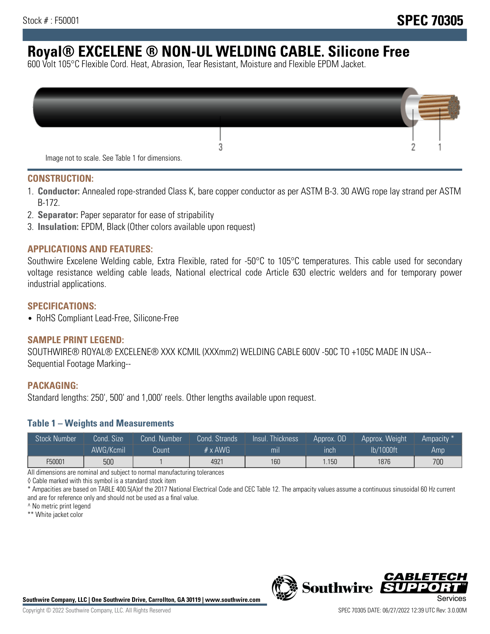# **Royal® EXCELENE ® NON-UL WELDING CABLE. Silicone Free**

600 Volt 105°C Flexible Cord. Heat, Abrasion, Tear Resistant, Moisture and Flexible EPDM Jacket.

| Image not to scale. See Table 1 for dimensions. |  |
|-------------------------------------------------|--|

#### **CONSTRUCTION:**

- 1. **Conductor:** Annealed rope-stranded Class K, bare copper conductor as per ASTM B-3. 30 AWG rope lay strand per ASTM B-172.
- 2. **Separator:** Paper separator for ease of stripability
- 3. **Insulation:** EPDM, Black (Other colors available upon request)

#### **APPLICATIONS AND FEATURES:**

Southwire Excelene Welding cable, Extra Flexible, rated for -50°C to 105°C temperatures. This cable used for secondary voltage resistance welding cable leads, National electrical code Article 630 electric welders and for temporary power industrial applications.

#### **SPECIFICATIONS:**

• RoHS Compliant Lead-Free, Silicone-Free

#### **SAMPLE PRINT LEGEND:**

SOUTHWIRE® ROYAL® EXCELENE® XXX KCMIL (XXXmm2) WELDING CABLE 600V -50C TO +105C MADE IN USA-- Sequential Footage Marking--

#### **PACKAGING:**

Standard lengths: 250', 500' and 1,000' reels. Other lengths available upon request.

#### **Table 1 – Weights and Measurements**

| <b>Stock Number</b> | Cond. Size' | Cond. Number | Cond. Strands  | Insul. Thickness | 'Approx. OD | Approx. Weight | Ampacity * |
|---------------------|-------------|--------------|----------------|------------------|-------------|----------------|------------|
|                     | AWG/Kcmil   | Count        | $# \times$ AWG | m <sub>l</sub>   | inch        | lb/1000ft      | Amp        |
| F50001              | 500         |              | 4921           | 160              | 1.150       | 1876           | 700        |

All dimensions are nominal and subject to normal manufacturing tolerances

◊ Cable marked with this symbol is a standard stock item

\* Ampacities are based on TABLE 400.5(A)of the 2017 National Electrical Code and CEC Table 12. The ampacity values assume a continuous sinusoidal 60 Hz current and are for reference only and should not be used as a final value.

^ No metric print legend

\*\* White jacket color



*CABLE*